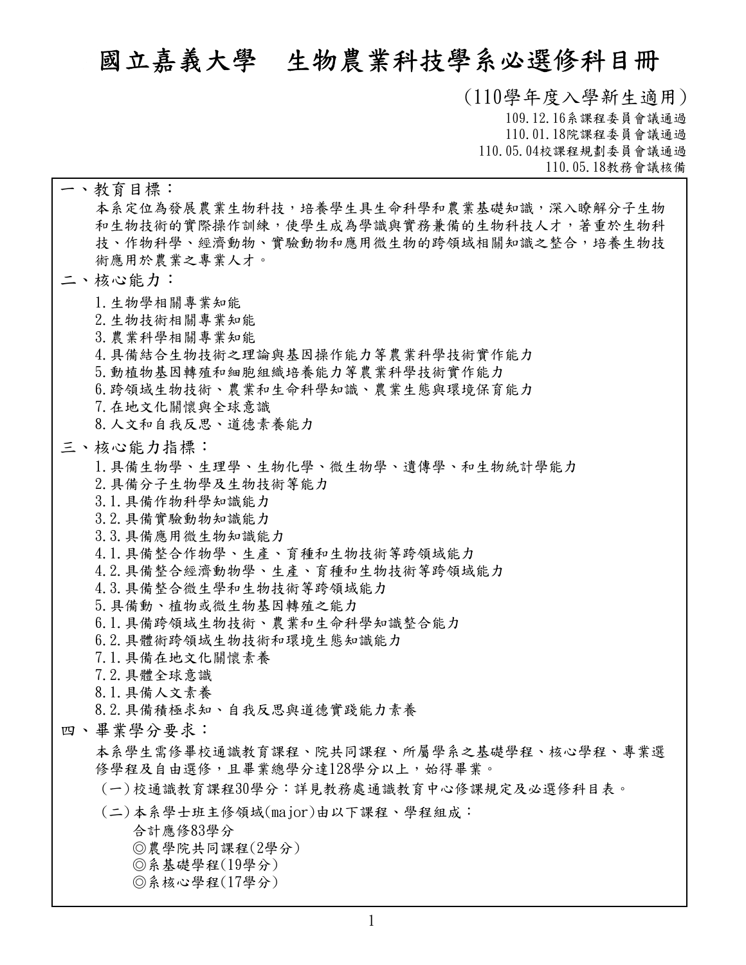# **國立嘉義大學 生物農業科技學系必選修科目冊**

**(110學年度入學新生適用) 109.12.16系課程委員會議通過 110.01.18院課程委員會議通過 110.05.04校課程規劃委員會議通過 110.05.18教務會議核備**

**本系定位為發展農業生物科技,培養學生具生命科學和農業基礎知識,深入瞭解分子生物 和生物技術的實際操作訓練,使學生成為學識與實務兼備的生物科技人才,著重於生物科 技、作物科學、經濟動物、實驗動物和應用微生物的跨領域相關知識之整合,培養生物技 術應用於農業之專業人才。 一、教育目標: 1.生物學相關專業知能 2.生物技術相關專業知能 3.農業科學相關專業知能 4.具備結合生物技術之理論與基因操作能力等農業科學技術實作能力 5.動植物基因轉殖和細胞組織培養能力等農業科學技術實作能力 6.跨領域生物技術、農業和生命科學知識、農業生態與環境保育能力 7.在地文化關懷與全球意識 8.人文和自我反思、道德素養能力 二、核心能力: 1.具備生物學、生理學、生物化學、微生物學、遺傳學、和生物統計學能力 2.具備分子生物學及生物技術等能力 3.1.具備作物科學知識能力 3.2.具備實驗動物知識能力 3.3.具備應用微生物知識能力 4.1.具備整合作物學、生產、育種和生物技術等跨領域能力 4.2.具備整合經濟動物學、生產、育種和生物技術等跨領域能力 4.3.具備整合微生學和生物技術等跨領域能力 5.具備動、植物或微生物基因轉殖之能力 6.1.具備跨領域生物技術、農業和生命科學知識整合能力 6.2.具體術跨領域生物技術和環境生態知識能力 7.1.具備在地文化關懷素養 7.2.具體全球意識 8.1.具備人文素養 8.2.具備積極求知、自我反思與道德實踐能力素養 三、核心能力指標: 本系學生需修畢校通識教育課程、院共同課程、所屬學系之基礎學程、核心學程、專業選** 四、畢業學分要求:<br>本系學生需修畢校通識教育課程、院共同課程、所屬學系之基礎學程、核心學程、專業選<br>修學程及自由選修,且畢業總學分達128學分以上,始得畢業。 **(一)校通識教育課程30學分:詳見教務處通識教育中心修課規定及必選修科目表。 合計應修83學分 ◎農學院共同課程(2學分) ◎系基礎學程(19 ) ◎系核心學程(17 ) (二)本系學士班主修領域(major)由以下課程、學程組成:**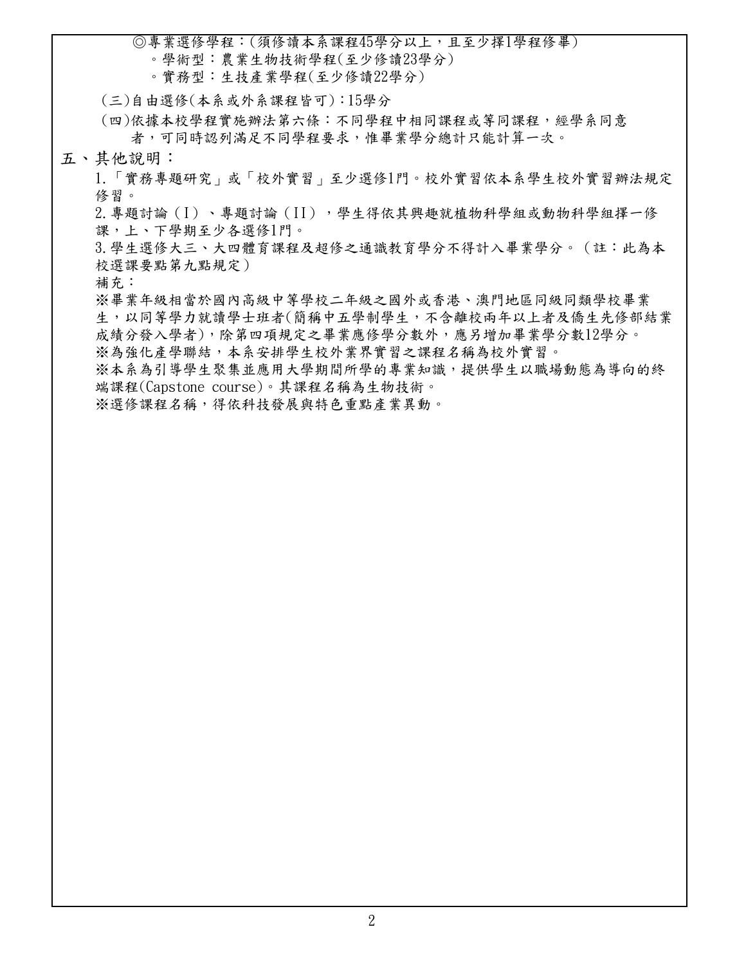**◎專業選修學程:(須修讀本系課程45學分以上,且至少擇1學程修畢)**

- **。學術型:農業生物技術學程(至少修讀23學分)**
- **。實務型:生技產業學程(至少修讀22學分)**

**(三)自由選修(本系或外系課程皆可):15學分**

**依據本校學程實施辦法第六條:不同學程中相同課程或等同課程,經學系同意 者,可同時認列滿足不同學程要求,惟畢業學分總計只能計算一次。 (四)**

**五、其他說明:**

**1.「實務專題研究」或「校外實習」至少選修1門。校外實習依本系學生校外實習辦法規定 修習。**

2.專題討論(I)、專題討論(II),學生得依其興趣就植物科學組或動物科學組擇一修 **課,上、下學期至少各選修1門。**

**3.學生選修大三、大四體育課程及超修之通識教育學分不得計入畢業學分。(註:此為本 校選課要點第九點規定)**

**補充:**

**※畢業年級相當於國內高級中等學校二年級之國外或香港、澳門地區同級同類學校畢業 生,以同等學力就讀學士班者(簡稱中五學制學生,不含離校兩年以上者及僑生先修部結業 成績分發入學者),除第四項規定之畢業應修學分數外,應另增加畢業學分數12學分。 ※為強化產學聯結,本系安排學生校外業界實習之課程名稱為校外實習。**

**※本系為引導學生聚集並應用大學期間所學的專業知識,提供學生以職場動態為導向的終**

**端課程(Capstone course)。其課程名稱為生物技術。**

**※選修課程名稱,得依科技發展與特色重點產業異動。**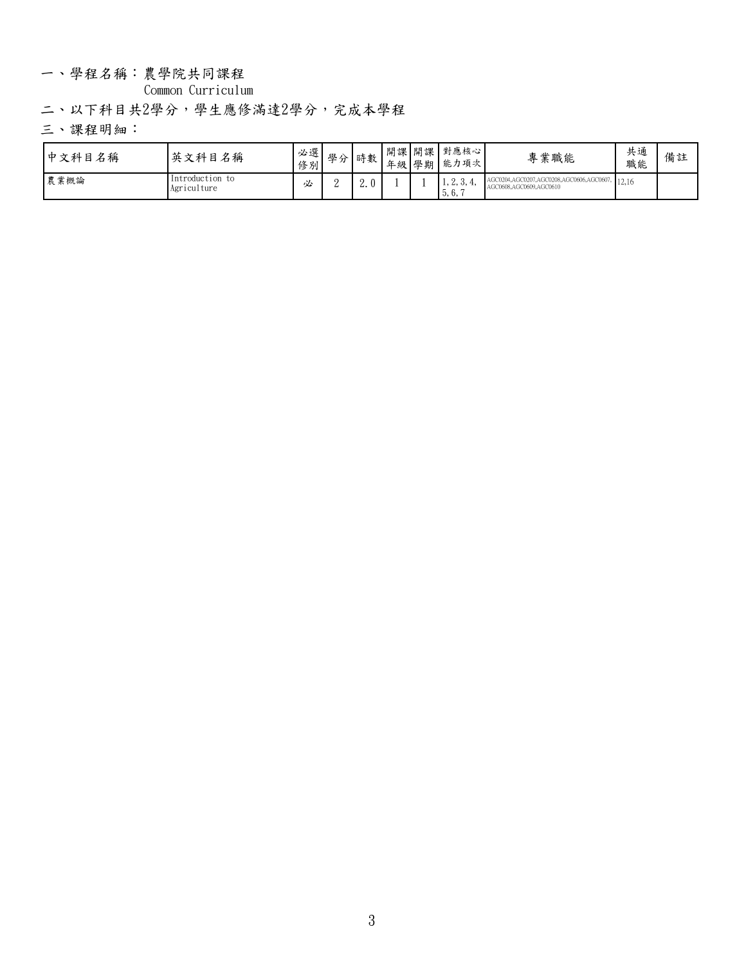### 一、學程名稱:農學院共同課程

**Common Curriculum**

**二、以下科目共2學分,學生應修滿達2學分,完成本學程**

| 中文科目名稱 | 英文科目名稱                         | $H \cap T$<br>修別 | 必選  學分」。<br>$\overline{\phantom{a}}$ | 吐丸<br>"叮致。 | 年級 學期 | 開課 開課 對應核心 <br>  能力項次 | 專業職能                                                                     | 共通<br>職能 | 備註 |
|--------|--------------------------------|------------------|--------------------------------------|------------|-------|-----------------------|--------------------------------------------------------------------------|----------|----|
| 農業概論   | Introduction to<br>Agriculture | 必                |                                      | ∼.         |       | 1.4.0.7<br>5.6.       | 4, AGC0207, AGC0208, AGC0606, AGC0607, 12, 16<br>AGC0608,AGC0609,AGC0610 |          |    |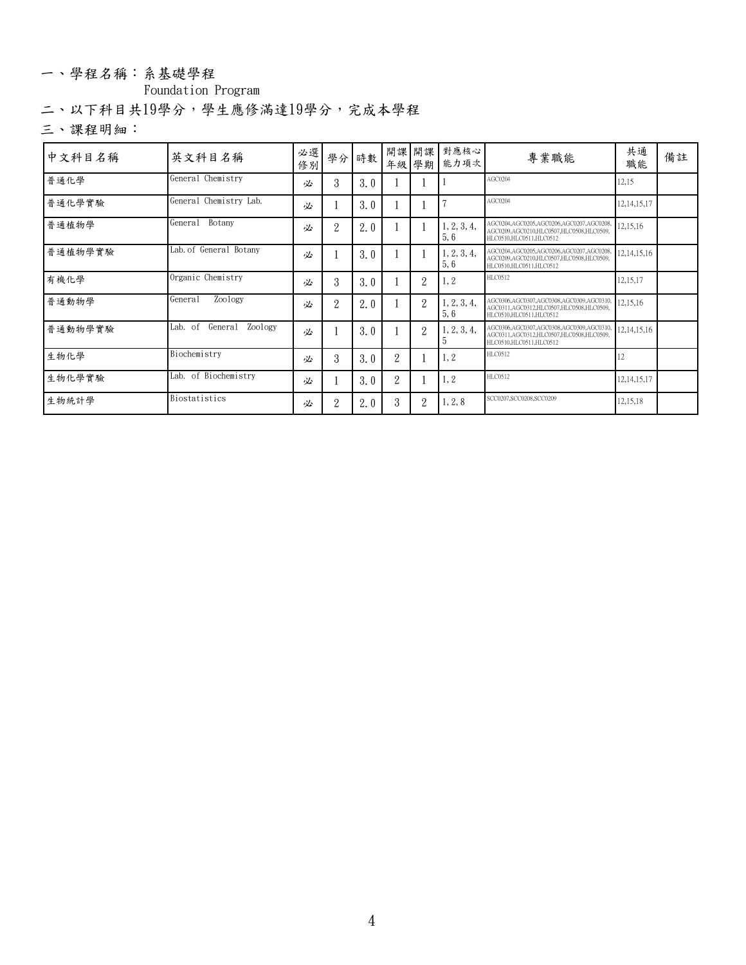### 一、學程名稱:系基礎學程

**Foundation Program**

**二、以下科目共19學分,學生應修滿達19學分,完成本學程**

| 中文科目名稱  | 英文科目名稱                        | 必選 <br>修別 |                | 學分 時數 |                | 年級 學期          | 開課 開課 對應核心 <br>能力項次 | 專業職能                                                                                                           | 共通<br>職能       | 備註 |
|---------|-------------------------------|-----------|----------------|-------|----------------|----------------|---------------------|----------------------------------------------------------------------------------------------------------------|----------------|----|
| 普通化學    | General Chemistry             | 必         | 3              | 3.0   |                |                |                     | AGC0204                                                                                                        | 12,15          |    |
| 普通化學實驗  | General Chemistry Lab.        | 必         |                | 3.0   |                |                |                     | AGC0204                                                                                                        | 12, 14, 15, 17 |    |
| 普通植物學   | General<br>Botany             | 必         | $\overline{2}$ | 2.0   |                |                | 1, 2, 3, 4,<br>5,6  | AGC0204,AGC0205,AGC0206,AGC0207,AGC020<br>AGC0209.AGC0210.HLC0507.HLC0508.HLC0509.<br>HLC0510.HLC0511.HLC0512  | 12,15,16       |    |
| 普通植物學實驗 | Lab. of General Botany        | 必         |                | 3.0   |                |                | 1, 2, 3, 4,<br>5,6  | AGC0204.AGC0205.AGC0206.AGC0207.AGC0207<br>AGC0209.AGC0210.HLC0507.HLC0508.HLC0509.<br>HLC0510.HLC0511.HLC0512 | 12,14,15,16    |    |
| 有機化學    | Organic Chemistry             | 必         | 3              | 3.0   |                | $\overline{2}$ | 1, 2                | HLC0512                                                                                                        | 12,15,17       |    |
| 普通動物學   | General<br>Zoology            | 必         | $\overline{2}$ | 2.0   |                | $\overline{2}$ | 1, 2, 3, 4,<br>5,6  | AGC0306,AGC0307,AGC0308,AGC0309,AGC031<br>AGC0311,AGC0312,HLC0507,HLC0508,HLC0509,<br>HLC0510.HLC0511.HLC0512  | 12,15,16       |    |
| 普通動物學實驗 | Zoology<br>Lab. of<br>General | 必         |                | 3.0   |                | $\overline{2}$ | 1, 2, 3, 4,         | AGC0306,AGC0307,AGC0308,AGC0309,AGC031<br>AGC0311,AGC0312,HLC0507,HLC0508,HLC0509,<br>HLC0510,HLC0511,HLC0512  | 12, 14, 15, 16 |    |
| 生物化學    | Biochemistry                  | 必         | 3              | 3.0   | $\overline{2}$ |                | $\vert 1, 2 \vert$  | HLC0512                                                                                                        | 12             |    |
| 生物化學實驗  | Lab. of Biochemistry          | 必         |                | 3.0   | $\overline{2}$ |                | 1, 2                | HLC0512                                                                                                        | 12, 14, 15, 17 |    |
| 生物統計學   | Biostatistics                 | 必         | 2              | 2.0   | 3              | $\overline{2}$ | 1, 2, 8             | SCC0207.SCC0208.SCC0209                                                                                        | 12,15,18       |    |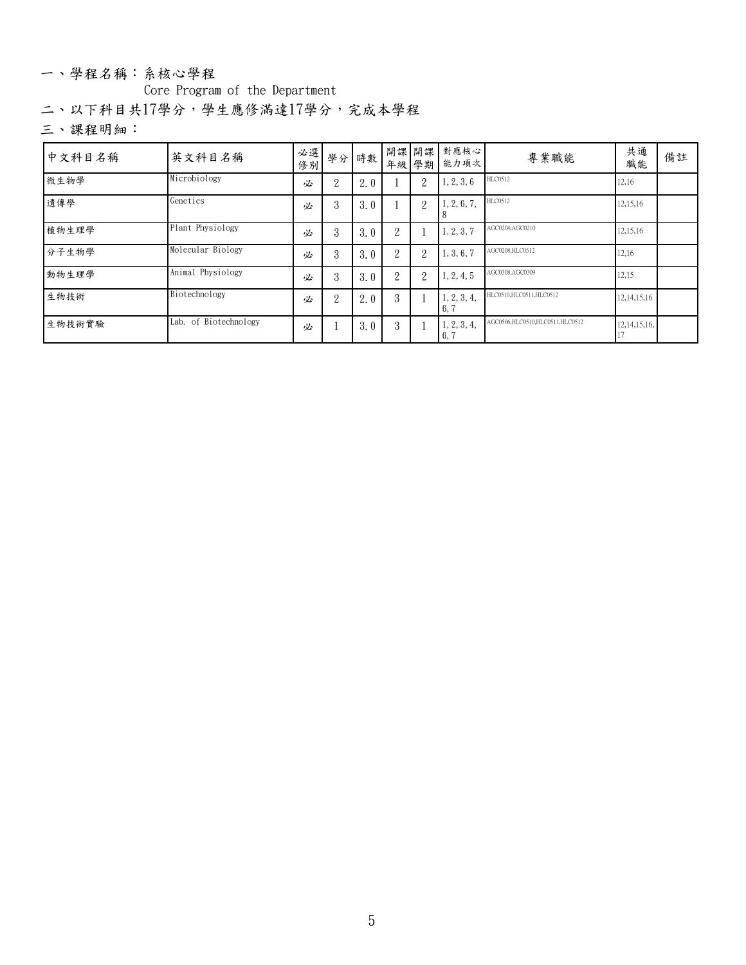#### 一、學程名稱:系核心學程

**Core Program of the Department**

**二、以下科目共17學分,學生應修滿達17學分,完成本學程**

| 中文科目名稱 | 英文科目名稱                | 必選 <br>修別 |                | 學分 時數 |                |                | 開課 開課 對應核心 <br>年級 學期 能力項次       | 專業職能                            | 共通<br>職能        | 備註 |
|--------|-----------------------|-----------|----------------|-------|----------------|----------------|---------------------------------|---------------------------------|-----------------|----|
| 微生物學   | Microbiology          | 必         | $\overline{2}$ | 2.0   |                | $\overline{2}$ | 1, 2, 3, 6                      | HLC0512                         | 12,16           |    |
| 遺傳學    | Genetics              | 必         | 3              | 3.0   |                | $\overline{2}$ | 1, 2, 6, 7,                     | HLC0512                         | 12,15,16        |    |
| 植物生理學  | Plant Physiology      | 必         | 3              | 3.0   | $\overline{2}$ |                | 1, 2, 3, 7                      | AGC0204,AGC0210                 | 12,15,16        |    |
| 分子生物學  | Molecular Biology     | 必         | 3              | 3.0   | 2              | $\overline{2}$ | 1, 3, 6, 7                      | AGC0208.HLC0512                 | 12,16           |    |
| 動物生理學  | Animal Physiology     | 必         | 3              | 3.0   | 2              | $\overline{2}$ | 1, 2, 4, 5                      | AGC0308,AGC0309                 | 12,15           |    |
| 生物技術   | Biotechnology         | 必         | $\overline{2}$ | 2.0   | 3              |                | 1, 2, 3, 4,<br>16,              | HLC0510,HLC0511,HLC0512         | 12, 14, 15, 16  |    |
| 生物技術實驗 | Lab. of Biotechnology | 必         |                | 3.0   | 3              |                | 1, 2, 3, 4,<br>$\vert 6, \vert$ | AGC0506,HLC0510,HLC0511,HLC0512 | 12, 14, 15, 16, |    |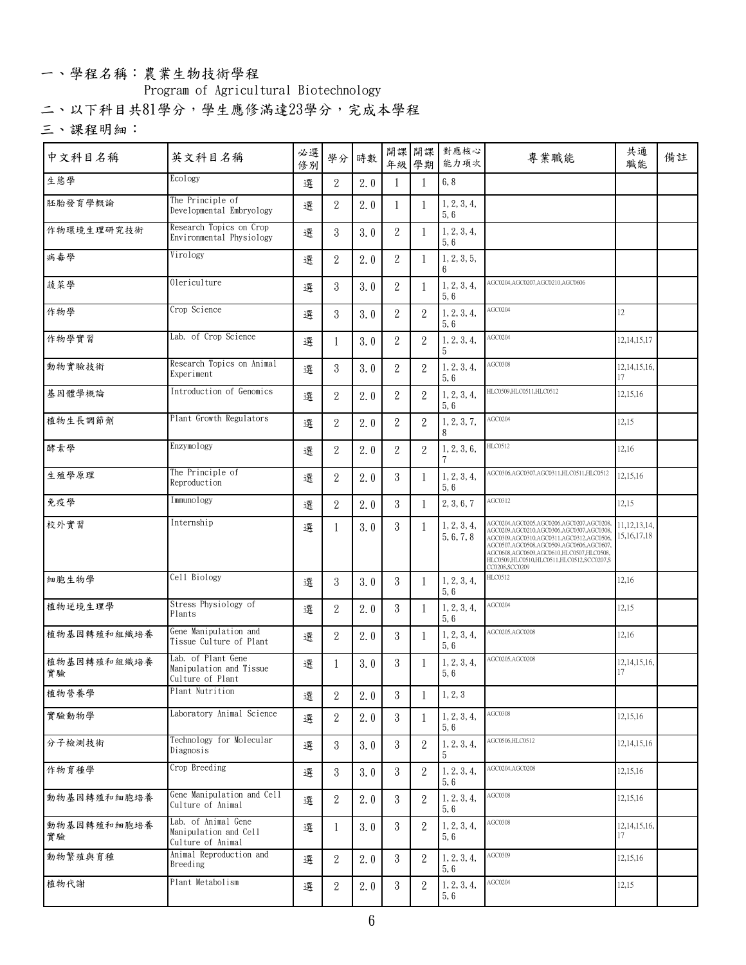### 一、學程名稱:農業生物技術學程

### **Program of Agricultural Biotechnology**

**二、以下科目共81學分,學生應修滿達23學分,完成本學程**

| 中文科目名稱            | 英文科目名稱                                                            | 必選 <br>修別 | 學分               | 時數                |                |                | 開課 開課 對應核心<br>年級 學期 能力項次  | 專業職能                                                                                                                                                                                                                                                                                                                                                                                                                                                                                        | 共通<br>職能                          | 備註 |
|-------------------|-------------------------------------------------------------------|-----------|------------------|-------------------|----------------|----------------|---------------------------|---------------------------------------------------------------------------------------------------------------------------------------------------------------------------------------------------------------------------------------------------------------------------------------------------------------------------------------------------------------------------------------------------------------------------------------------------------------------------------------------|-----------------------------------|----|
| 生態學               | Ecology                                                           | 選         | $\overline{2}$   | 2.0               | -1             | $\mathbf{1}$   | 6, 8                      |                                                                                                                                                                                                                                                                                                                                                                                                                                                                                             |                                   |    |
| 胚胎發育學概論           | The Principle of<br>Developmental Embryology                      | 選         | $\overline{2}$   | 2.0               | 1              | -1             | 1, 2, 3, 4,<br>5,6        |                                                                                                                                                                                                                                                                                                                                                                                                                                                                                             |                                   |    |
| 作物環境生理研究技術        | Research Topics on Crop<br>Environmental Physiology               | 選         | $3\phantom{.0}$  | 3.0               | 2              | -1             | 1, 2, 3, 4,<br>5,6        |                                                                                                                                                                                                                                                                                                                                                                                                                                                                                             |                                   |    |
| 病毒學               | Virology                                                          | 選         | $\overline{2}$   | 2.0               | $\overline{2}$ |                | 1, 2, 3, 5,<br>6          |                                                                                                                                                                                                                                                                                                                                                                                                                                                                                             |                                   |    |
| 蔬菜學               | 0lericulture                                                      | 選         | $3\phantom{.0}$  | 3.0               | $\overline{2}$ | -1             | 1, 2, 3, 4,<br>5,6        | AGC0204.AGC0207.AGC0210.AGC0606                                                                                                                                                                                                                                                                                                                                                                                                                                                             |                                   |    |
| 作物學               | Crop Science                                                      | 選         | $\boldsymbol{3}$ | 3.0               | $\overline{2}$ | $\sqrt{2}$     | 1, 2, 3, 4,<br>5,6        | AGC0204                                                                                                                                                                                                                                                                                                                                                                                                                                                                                     | $12 \,$                           |    |
| 作物學實習             | Lab. of Crop Science                                              | 選         | 1                | 3.0               | $\overline{2}$ | $\overline{2}$ | 1, 2, 3, 4,<br>.5         | AGC0204                                                                                                                                                                                                                                                                                                                                                                                                                                                                                     | 12, 14, 15, 17                    |    |
| 動物實驗技術            | Research Topics on Animal<br>Experiment                           | 選         | $\mathbf{3}$     | 3.0               | $\overline{2}$ | $\sqrt{2}$     | 1, 2, 3, 4,<br>5,6        | AGC0308                                                                                                                                                                                                                                                                                                                                                                                                                                                                                     | 12, 14, 15, 16,<br>17             |    |
| 基因體學概論            | Introduction of Genomics                                          | 選         | $\overline{2}$   | 2.0               | $\overline{2}$ | 2              | 1, 2, 3, 4,<br>5, 6       | HLC0509,HLC0511,HLC0512                                                                                                                                                                                                                                                                                                                                                                                                                                                                     | 12,15,16                          |    |
| 植物生長調節劑           | Plant Growth Regulators                                           | 選         | $\overline{2}$   | 2.0               | $\overline{2}$ | $\overline{2}$ | 1, 2, 3, 7,               | AGC0204                                                                                                                                                                                                                                                                                                                                                                                                                                                                                     | 12,15                             |    |
| 酵素學               | Enzymology                                                        | 選         | $\overline{2}$   | 2.0               | $\overline{2}$ | $\overline{2}$ | 1, 2, 3, 6,               | HLC0512                                                                                                                                                                                                                                                                                                                                                                                                                                                                                     | 12,16                             |    |
| 生殖學原理             | The Principle of<br>Reproduction                                  | 選         | $\overline{2}$   | 2.0               | 3              | -1             | 1, 2, 3, 4,<br>5,6        | AGC0306,AGC0307,AGC0311,HLC0511,HLC0512                                                                                                                                                                                                                                                                                                                                                                                                                                                     | 12,15,16                          |    |
| 免疫學               | Immunology                                                        | 選         | $\sqrt{2}$       | 2.0               | 3              | -1             | 2, 3, 6, 7                | AGC0312                                                                                                                                                                                                                                                                                                                                                                                                                                                                                     | 12,15                             |    |
| 校外實習              | Internship                                                        | 選         |                  | 3.0               | 3              | $\mathbf{1}$   | 1, 2, 3, 4,<br>5, 6, 7, 8 | $\begin{array}{l} \text{AGC0204}, \text{AGC0205}, \text{AGC0206}, \text{AGC0207}, \text{AGC0208}, \\ \text{AGC0209}, \text{AGC0210}, \text{AGC0306}, \text{AGC0307}, \text{AGC0308}, \\ \text{AGC0309}, \text{AGC0310}, \text{AGC0311}, \text{AGC0312}, \text{AGC0506}, \text{AGC0606}, \\ \text{AGC0507}, \text{AGC0508}, \text{AGC0509}, \text{AGC0606}, \text{AGC0607},$<br>.<br>AGC0608,AGC0609,AGC0610,HLC0507,HLC0508,<br>HLC0509,HLC0510,HLC0511,HLC0512,SCC0207,S<br>CC0208,SCC0209 | 11, 12, 13, 14,<br>15, 16, 17, 18 |    |
| 細胞生物學             | Cell Biology                                                      | 選         | $3\phantom{.0}$  | 3.0               | 3              | $\mathbf{1}$   | 1, 2, 3, 4,<br>5,6        | HLC0512                                                                                                                                                                                                                                                                                                                                                                                                                                                                                     | 12,16                             |    |
| 植物逆境生理學           | Stress Physiology of<br>Plants                                    | 選         | $\overline{2}$   | 2.0               | 3              | -1             | 1, 2, 3, 4,<br>5,6        | AGC0204                                                                                                                                                                                                                                                                                                                                                                                                                                                                                     | 12,15                             |    |
| 植物基因轉殖和組織培養       | Gene Manipulation and<br>Tissue Culture of Plant                  | 選         | $\overline{2}$   | 2.0               | 3              |                | 1, 2, 3, 4,<br>5,6        | AGC0205,AGC0208                                                                                                                                                                                                                                                                                                                                                                                                                                                                             | 12,16                             |    |
| 植物基因轉殖和組織培養<br>實驗 | Lab. of Plant Gene<br>Manipulation and Tissue<br>Culture of Plant | 選         | 1                | 3.0               | 3              | -1             | 1, 2, 3, 4,<br>5,6        | AGC0205,AGC0208                                                                                                                                                                                                                                                                                                                                                                                                                                                                             | 12, 14, 15, 16,<br>17             |    |
| 植物營養學             | Plant Nutrition                                                   | 選         |                  | $2 \mid 2.0 \mid$ | $\overline{3}$ |                | $1 \mid 1, 2, 3$          |                                                                                                                                                                                                                                                                                                                                                                                                                                                                                             |                                   |    |
| 實驗動物學             | Laboratory Animal Science                                         | 選         | $\overline{2}$   | 2.0               | 3              | $\mathbf{1}$   | 1, 2, 3, 4,<br>5, 6       | AGC0308                                                                                                                                                                                                                                                                                                                                                                                                                                                                                     | 12,15,16                          |    |
| 分子檢測技術            | Technology for Molecular<br>Diagnosis                             | 選         | $\mathbf{3}$     | 3.0               | 3              | 2              | 1, 2, 3, 4,<br>5          | AGC0506,HLC0512                                                                                                                                                                                                                                                                                                                                                                                                                                                                             | 12, 14, 15, 16                    |    |
| 作物育種學             | Crop Breeding                                                     | 選         | $3\phantom{.0}$  | 3.0               | 3              | 2              | 1, 2, 3, 4,<br>5,6        | AGC0204,AGC0208                                                                                                                                                                                                                                                                                                                                                                                                                                                                             | 12,15,16                          |    |
| 動物基因轉殖和細胞培養       | Gene Manipulation and Cell<br>Culture of Animal                   | 選         | $\overline{2}$   | 2.0               | 3              | $\overline{2}$ | 1, 2, 3, 4,<br>5, 6       | AGC0308                                                                                                                                                                                                                                                                                                                                                                                                                                                                                     | 12,15,16                          |    |
| 動物基因轉殖和細胞培養<br>實驗 | Lab. of Animal Gene<br>Manipulation and Cell<br>Culture of Animal | 選         |                  | 3.0               | 3              | 2              | 1, 2, 3, 4,<br>5,6        | AGC0308                                                                                                                                                                                                                                                                                                                                                                                                                                                                                     | 12, 14, 15, 16,<br>17             |    |
| 動物繁殖與育種           | Animal Reproduction and<br>Breeding                               | 選         | $\overline{2}$   | 2.0               | 3              | $\overline{2}$ | 1, 2, 3, 4,<br>5, 6       | AGC0309                                                                                                                                                                                                                                                                                                                                                                                                                                                                                     | 12,15,16                          |    |
| 植物代謝              | Plant Metabolism                                                  | 選         | $\overline{2}$   | 2.0               | 3              | $2^{\circ}$    | 1, 2, 3, 4,<br>5, 6       | AGC0204                                                                                                                                                                                                                                                                                                                                                                                                                                                                                     | 12,15                             |    |
|                   |                                                                   |           |                  |                   |                |                |                           |                                                                                                                                                                                                                                                                                                                                                                                                                                                                                             |                                   |    |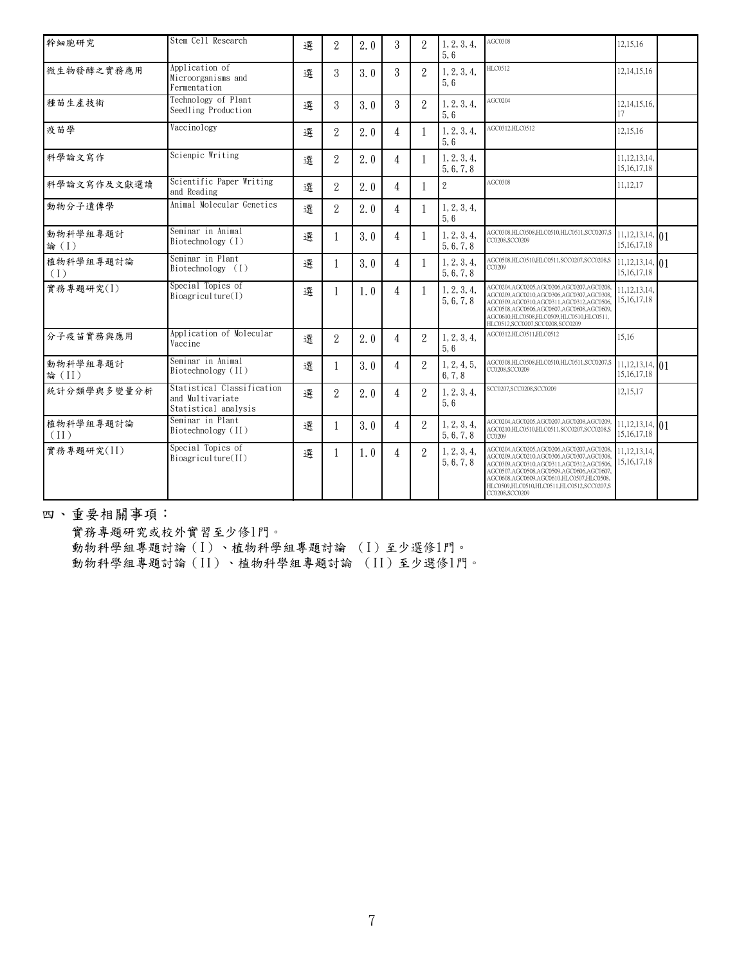| 幹細胞研究             | Stem Cell Research                                                     | 選 | $\overline{2}$ | 2.0 | 3              | 2                           | 1, 2, 3, 4,<br>5,6        | AGC0308                                                                                                                                                                                                                                                                              | 12,15,16                             |  |
|-------------------|------------------------------------------------------------------------|---|----------------|-----|----------------|-----------------------------|---------------------------|--------------------------------------------------------------------------------------------------------------------------------------------------------------------------------------------------------------------------------------------------------------------------------------|--------------------------------------|--|
| 微生物發酵之實務應用        | Application of<br>Microorganisms and<br>Fermentation                   | 選 | 3              | 3.0 | 3              | $\overline{2}$              | 1, 2, 3, 4,<br>5,6        | HLC0512                                                                                                                                                                                                                                                                              | 12, 14, 15, 16                       |  |
| 種苗生產技術            | Technology of Plant<br>Seedling Production                             | 選 | 3              | 3.0 | 3              | $\mathcal{D}_{\mathcal{L}}$ | 1, 2, 3, 4,<br>5,6        | AGC0204                                                                                                                                                                                                                                                                              | 12, 14, 15, 16,<br>17                |  |
| 疫苗學               | Vaccinology                                                            | 選 | $\overline{2}$ | 2.0 | 4              |                             | 1, 2, 3, 4,<br>5,6        | AGC0312,HLC0512                                                                                                                                                                                                                                                                      | 12,15,16                             |  |
| 科學論文寫作            | Scienpic Writing                                                       | 選 | $\overline{2}$ | 2.0 | 4              |                             | 1, 2, 3, 4,<br>5, 6, 7, 8 |                                                                                                                                                                                                                                                                                      | 11, 12, 13, 14,<br>15, 16, 17, 18    |  |
| 科學論文寫作及文獻選讀       | Scientific Paper Writing<br>and Reading                                | 選 | $\overline{2}$ | 2.0 | 4              | 1                           | $\overline{2}$            | AGC0308                                                                                                                                                                                                                                                                              | 11,12,17                             |  |
| 動物分子遺傳學           | Animal Molecular Genetics                                              | 選 | $\overline{2}$ | 2.0 | 4              |                             | 1, 2, 3, 4,<br>5.6        |                                                                                                                                                                                                                                                                                      |                                      |  |
| 動物科學組專題討<br>論(I)  | Seminar in Animal<br>Biotechnology (I)                                 | 選 | 1              | 3.0 | 4              | 1                           | 1, 2, 3, 4,<br>5, 6, 7, 8 | AGC0308,HLC0508,HLC0510,HLC0511,SCC0207,S<br>CC0208,SCC0209                                                                                                                                                                                                                          | 11, 12, 13, 14, 01<br>15, 16, 17, 18 |  |
| 植物科學組專題討論<br>(1)  | Seminar in Plant<br>Biotechnology (I)                                  | 選 | 1              | 3.0 | 4              | 1                           | 1, 2, 3, 4,<br>5, 6, 7, 8 | AGC0508,HLC0510,HLC0511,SCC0207,SCC0208,S<br>CC0209                                                                                                                                                                                                                                  | 11, 12, 13, 14, 01<br>15, 16, 17, 18 |  |
| 實務專題研究(I)         | Special Topics of<br>Bioagriculture(I)                                 | 選 | 1              | 1.0 | 4              |                             | 1, 2, 3, 4,<br>5, 6, 7, 8 | AGC0204,AGC0205,AGC0206,AGC0207,AGC0208<br>AGC0209,AGC0210,AGC0306,AGC0307,AGC0308<br>AGC0309,AGC0310,AGC0311,AGC0312,AGC0506<br>AGC0508,AGC0606,AGC0607,AGC0608,AGC0609,<br>AGC0610,HLC0508,HLC0509,HLC0510,HLC0511,<br>HLC0512,SCC0207,SCC0208,SCC0209                             | 11, 12, 13, 14,<br>15, 16, 17, 18    |  |
| 分子疫苗實務與應用         | Application of Molecular<br>Vaccine                                    | 選 | $\overline{2}$ | 2.0 | 4              | $\overline{2}$              | 1, 2, 3, 4,<br>5,6        | AGC0312.HLC0511.HLC0512                                                                                                                                                                                                                                                              | 15,16                                |  |
| 動物科學組專題討<br>論(II) | Seminar in Animal<br>Biotechnology (II)                                | 選 | 1              | 3.0 | 4              | $\overline{2}$              | 1, 2, 4, 5,<br>6, 7, 8    | AGC0308,HLC0508,HLC0510,HLC0511,SCC0207,S<br>CC0208.SCC0209                                                                                                                                                                                                                          | 11, 12, 13, 14, 01<br>15, 16, 17, 18 |  |
| 統計分類學與多變量分析       | Statistical Classification<br>and Multivariate<br>Statistical analysis | 選 | $\overline{2}$ | 2.0 | 4              | $\mathcal{P}$               | 1, 2, 3, 4,<br>5.6        | SCC0207,SCC0208,SCC0209                                                                                                                                                                                                                                                              | 12,15,17                             |  |
| 植物科學組專題討論<br>(II) | Seminar in Plant<br>Biotechnology (II)                                 | 選 | 1              | 3.0 | 4              | $\overline{2}$              | 1, 2, 3, 4,<br>5, 6, 7, 8 | AGC0204,AGC0205,AGC0207,AGC0208,AGC0209<br>AGC0210,HLC0510,HLC0511,SCC0207,SCC0208,S<br>CC0209                                                                                                                                                                                       | 11, 12, 13, 14, 01<br>15, 16, 17, 18 |  |
| 實務專題研究(II)        | Special Topics of<br>Bioagriculture(II)                                | 選 | 1              | 1.0 | $\overline{4}$ | $\mathcal{D}_{\mathcal{L}}$ | 1, 2, 3, 4,<br>5, 6, 7, 8 | AGC0204,AGC0205,AGC0206,AGC0207,AGC0208<br>AGC0209,AGC0210,AGC0306,AGC0307,AGC0308<br>AGC0309,AGC0310,AGC0311,AGC0312,AGC0506,<br>AGC0507,AGC0508,AGC0509,AGC0606,AGC0607<br>AGC0608,AGC0609,AGC0610,HLC0507,HLC0508,<br>HLC0509,HLC0510,HLC0511,HLC0512,SCC0207,S<br>CC0208,SCC0209 | 11, 12, 13, 14,<br>15, 16, 17, 18    |  |

**四、重要相關事項:**

**實務專題研究或校外實習至少修1門。 動物科學組專題討論(I)、植物科學組專題討論 (I)至少選修1門。 動物科學組專題討論(II)、植物科學組專題討論 (II)至少選修1門。**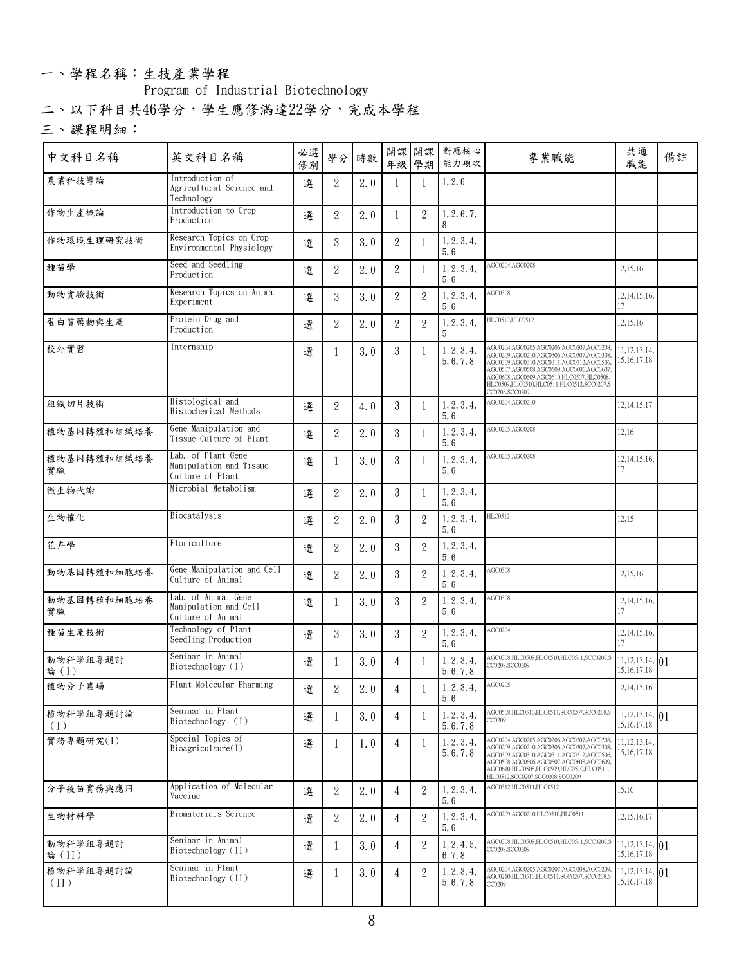### **一、學程名稱:生技產業學程**

### **Program of Industrial Biotechnology**

**二、以下科目共46學分,學生應修滿達22學分,完成本學程**

| 中文科目名稱            | 英文科目名稱                                                            | 必選<br>修別 |                  | 學分 時數 |                |                | 開課 開課 對應核心<br>年級 學期 能力項次  | 專業職能                                                                                                                                                                                                                                                                              | 共通<br>職能                             | 備註 |
|-------------------|-------------------------------------------------------------------|----------|------------------|-------|----------------|----------------|---------------------------|-----------------------------------------------------------------------------------------------------------------------------------------------------------------------------------------------------------------------------------------------------------------------------------|--------------------------------------|----|
| 農業科技導論            | Introduction of<br>Agricultural Science and<br>Technology         | 選        | $\overline{2}$   | 2.0   | -1             |                | 1, 2, 6                   |                                                                                                                                                                                                                                                                                   |                                      |    |
| 作物生產概論            | Introduction to Crop<br>Production                                | 選        | $\overline{2}$   | 2.0   | 1              | 2              | 1, 2, 6, 7,               |                                                                                                                                                                                                                                                                                   |                                      |    |
| 作物環境生理研究技術        | Research Topics on Crop<br>Environmental Physiology               | 選        | $\mathbf{3}$     | 3.0   | 2              |                | 1, 2, 3, 4,<br>5, 6       |                                                                                                                                                                                                                                                                                   |                                      |    |
| 種苗學               | Seed and Seedling<br>Production                                   | 選        | $\overline{2}$   | 2.0   | 2              | -1             | 1, 2, 3, 4,<br>5,6        | AGC0204,AGC0208                                                                                                                                                                                                                                                                   | 12,15,16                             |    |
| 動物實驗技術            | Research Topics on Animal<br>Experiment                           | 選        | $\mathbf{3}$     | 3.0   | 2              | 2              | 1, 2, 3, 4,<br>5,6        | AGC0308                                                                                                                                                                                                                                                                           | 12, 14, 15, 16,<br>17                |    |
| 蛋白質藥物與生產          | Protein Drug and<br>Production                                    | 選        | $\overline{2}$   | 2.0   | 2              | $\overline{2}$ | 1, 2, 3, 4,<br>b.         | HLC0510,HLC0512                                                                                                                                                                                                                                                                   | 12,15,16                             |    |
| 校外實習              | Internship                                                        | 選        | 1                | 3.0   | 3              | 1              | 1, 2, 3, 4,<br>5, 6, 7, 8 | AGC0204,AGC0205,AGC0206,AGC0207,AGC020<br>AGC0209,AGC0210,AGC0306,AGC0307,AGC0308<br>AGC0309,AGC0310,AGC0311,AGC0312,AGC0506<br>AGC0507,AGC0508,AGC0509,AGC0606,AGC0607<br>AGC0608,AGC0609,AGC0610,HLC0507,HLC0508<br>HLC0509,HLC0510,HLC0511,HLC0512,SCC0207,S<br>CC0208.SCC0209 | 11, 12, 13, 14,<br>15, 16, 17, 18    |    |
| 組織切片技術            | Histological and<br>Histochemical Methods                         | 選        | $\overline{2}$   | 4.0   | 3              | $\mathbf{1}$   | 1, 2, 3, 4,<br>5, 6       | AGC0204,AGC0210                                                                                                                                                                                                                                                                   | 12, 14, 15, 17                       |    |
| 植物基因轉殖和組織培養       | Gene Manipulation and<br>Tissue Culture of Plant                  | 選        | $\overline{2}$   | 2.0   | 3              | $\mathbf{1}$   | 1, 2, 3, 4,<br>5,6        | AGC0205,AGC0208                                                                                                                                                                                                                                                                   | 12,16                                |    |
| 植物基因轉殖和組織培養<br>實驗 | Lab. of Plant Gene<br>Manipulation and Tissue<br>Culture of Plant | 選        | 1                | 3.0   | 3              | -1             | 1, 2, 3, 4,<br>5,6        | AGC0205,AGC0208                                                                                                                                                                                                                                                                   | 12, 14, 15, 16,<br>17                |    |
| 微生物代謝             | Microbial Metabolism                                              | 選        | 2                | 2.0   | 3              | 1              | 1, 2, 3, 4,<br>5,6        |                                                                                                                                                                                                                                                                                   |                                      |    |
| 生物催化              | Biocatalysis                                                      | 選        | $\overline{2}$   | 2.0   | 3              | $\overline{2}$ | 1, 2, 3, 4,<br>5,6        | HLC0512                                                                                                                                                                                                                                                                           | 12,15                                |    |
| 花卉學               | Floriculture                                                      | 選        | $\overline{2}$   | 2.0   | 3              | $\mathbf{2}$   | 1, 2, 3, 4,<br>5,6        |                                                                                                                                                                                                                                                                                   |                                      |    |
| 動物基因轉殖和細胞培養       | Gene Manipulation and Cell<br>Culture of Animal                   | 選        | $\overline{2}$   | 2.0   | 3              | 2              | 1, 2, 3, 4,<br>5,6        | AGC0308                                                                                                                                                                                                                                                                           | 12,15,16                             |    |
| 動物基因轉殖和細胞培養<br>實驗 | Lab. of Animal Gene<br>Manipulation and Cell<br>Culture of Animal | 選        | 1                | 3.0   | 3              | $\overline{2}$ | 1, 2, 3, 4,<br>5,6        | AGC0308                                                                                                                                                                                                                                                                           | 12, 14, 15, 16,<br>17                |    |
| 種苗生產技術            | Technology of Plant<br>Seedling Production                        | 選        | 3                | 3.0   | 3              | 2              | 1, 2, 3, 4,<br>5, 6       | AGC0204                                                                                                                                                                                                                                                                           | 12, 14, 15, 16,<br>17                |    |
| 動物科學組專題討<br>論(I)  | Seminar in Animal<br>Biotechnology (I)                            | 選        | $\mathbf{1}$     | 3.0   | 4              | $\mathbf{1}$   | 1, 2, 3, 4,<br>5, 6, 7, 8 | AGC0308,HLC0508,HLC0510,HLC0511,SCC0207<br>C0208.SCC0209                                                                                                                                                                                                                          | 11, 12, 13, 14, 01<br>15, 16, 17, 18 |    |
| 植物分子農場            | Plant Molecular Pharming                                          | 選        | $\mathbf{2}$     | 2.0   | $\overline{4}$ | $\overline{1}$ | 1, 2, 3, 4,<br>5,6        | AGC0205                                                                                                                                                                                                                                                                           | 12, 14, 15, 16                       |    |
| 植物科學組專題討論<br>(1)  | Seminar in Plant<br>Biotechnology (I)                             | 選        | 1                | 3.0   | 4              |                | 1, 2, 3, 4,<br>5, 6, 7, 8 | AGC0508,HLC0510,HLC0511,SCC0207,SCC0208,S<br>CC0209                                                                                                                                                                                                                               | 11, 12, 13, 14, 01<br>15, 16, 17, 18 |    |
| 實務專題研究(I)         | Special Topics of<br>Biogriculture(I)                             | 選        | 1                | 1.0   | 4              | -1             | 1, 2, 3, 4,<br>5, 6, 7, 8 | AGC0204,AGC0205,AGC0206,AGC0207,AGC0208<br>AGC0209,AGC0210,AGC0306,AGC0307,AGC0308<br>AGC0309,AGC0310,AGC0311,AGC0312,AGC0506<br>AGC0508,AGC0606,AGC0607,AGC0608,AGC0609.<br>AGC0610,HLC0508,HLC0509,HLC0510,HLC0511,<br>HLC0512.SCC0207.SCC0208.SCC0209                          | 11, 12, 13, 14,<br>15, 16, 17, 18    |    |
| 分子疫苗實務與應用         | Application of Molecular<br>Vaccine                               | 選        | $\boldsymbol{2}$ | 2.0   | 4              | 2              | 1, 2, 3, 4,<br>5,6        | AGC0312, HLC0511, HLC0512                                                                                                                                                                                                                                                         | 15,16                                |    |
| 生物材料學             | Biomaterials Science                                              | 選        | $\boldsymbol{2}$ | 2.0   | 4              | 2              | 1, 2, 3, 4,<br>5, 6       | AGC0209,AGC0210,HLC0510,HLC0511                                                                                                                                                                                                                                                   | 12, 15, 16, 17                       |    |
| 動物科學組專題討<br>論(II) | Seminar in Animal<br>Biotechnology (II)                           | 選        | 1                | 3.0   | 4              | 2              | 1, 2, 4, 5,<br>6, 7, 8    | AGC0308,HLC0508,HLC0510,HLC0511,SCC0207,<br>C0208,SCC0209                                                                                                                                                                                                                         | 11, 12, 13, 14, 01<br>15, 16, 17, 18 |    |
| 植物科學組專題討論<br>(II) | Seminar in Plant<br>Biotechnology (II)                            | 選        | 1                | 3.0   | 4              | 2              | 1, 2, 3, 4,<br>5, 6, 7, 8 | AGC0204,AGC0205,AGC0207,AGC0208,AGC020<br>AGC0210,HLC0510,HLC0511,SCC0207,SCC0208,S<br>CC0209                                                                                                                                                                                     | 11, 12, 13, 14, 01<br>15, 16, 17, 18 |    |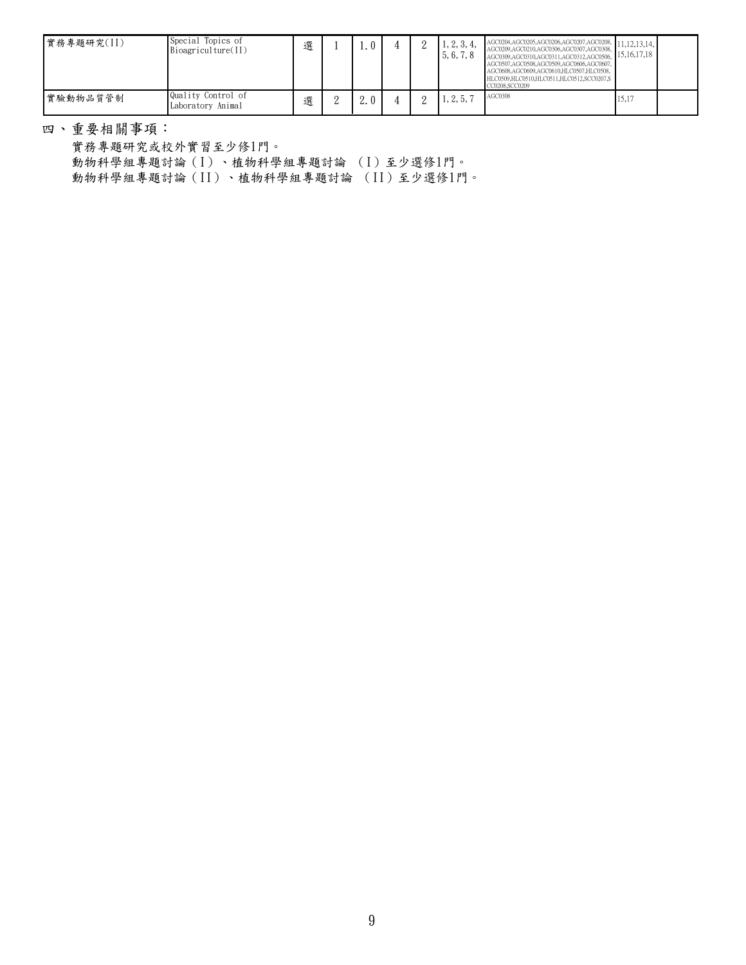| 實務專題研究(II) | Special Topics of<br>Bioagriculture(II) | 選 | 1.0 |  | 1, 2, 3, 4,<br>5, 6, 7, 8 | $AGCO204, AGCO205, AGCO206, AGCO207, AGCO208, 11, 12, 13, 14, 1$<br>AGC0209,AGC0210,AGC0306,AGC0307,AGC0308, 11,12,15,14,<br>AGC0309,AGC0310,AGC0311,AGC0312,AGC0506, 15,16,17,18<br>AGC0507,AGC0508,AGC0509,AGC0606,AGC0607,<br>AGC0608,AGC0609,AGC0610,HLC0507,HLC0508,<br>HLC0509.HLC0510.HLC0511.HLC0512.SCC0207.S<br>CC0208,SCC0209 |       |  |
|------------|-----------------------------------------|---|-----|--|---------------------------|------------------------------------------------------------------------------------------------------------------------------------------------------------------------------------------------------------------------------------------------------------------------------------------------------------------------------------------|-------|--|
| 實驗動物品質管制   | Quality Control of<br>Laboratory Animal | 選 |     |  | 1, 2, 5, 7                | AGC0308                                                                                                                                                                                                                                                                                                                                  | 15,17 |  |

**四、重要相關事項:**

**實務專題研究或校外實習至少修1門。 動物科學組專題討論(I)、植物科學組專題討論 (I)至少選修1門。 動物科學組專題討論(II)、植物科學組專題討論 (II)至少選修1門。**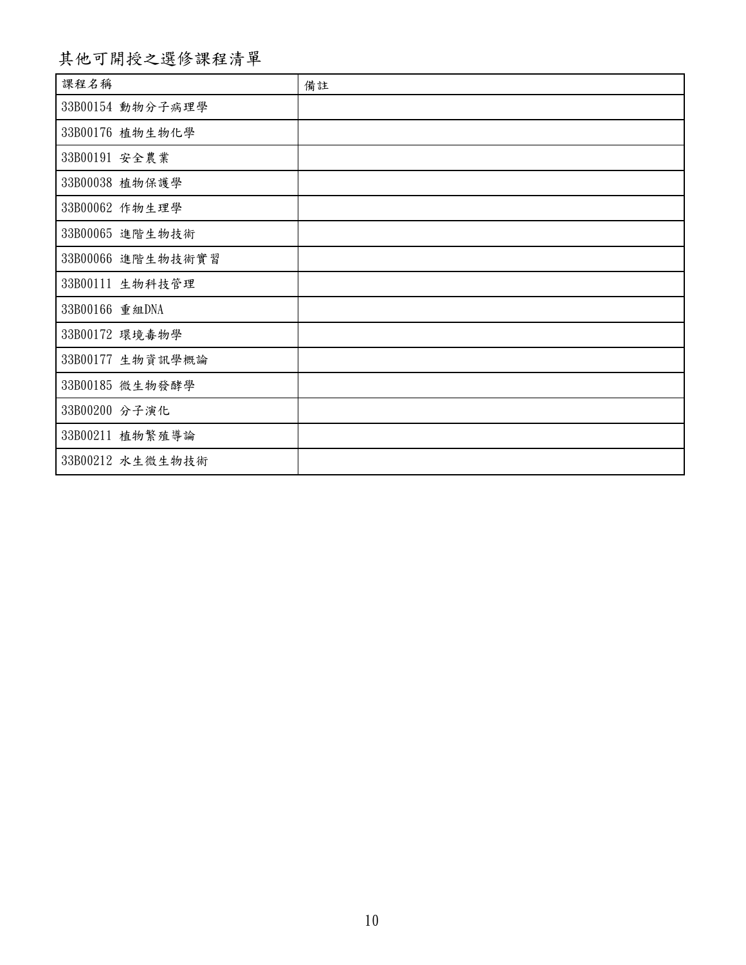## **課程名稱 其他可開授之選修課程清單 備註**

| 課程名稱              | 備註 |
|-------------------|----|
| 33B00154 動物分子病理學  |    |
| 33B00176 植物生物化學   |    |
| 33B00191 安全農業     |    |
| 33B00038 植物保護學    |    |
| 33B00062 作物生理學    |    |
| 33B00065 進階生物技術   |    |
| 33B00066 進階生物技術實習 |    |
| 33B00111 生物科技管理   |    |
| 33B00166 重組DNA    |    |
| 33B00172 環境毒物學    |    |
| 33B00177 生物資訊學概論  |    |
| 33B00185 微生物發酵學   |    |
| 33B00200 分子演化     |    |
| 33B00211 植物繁殖導論   |    |
| 33B00212 水生微生物技術  |    |